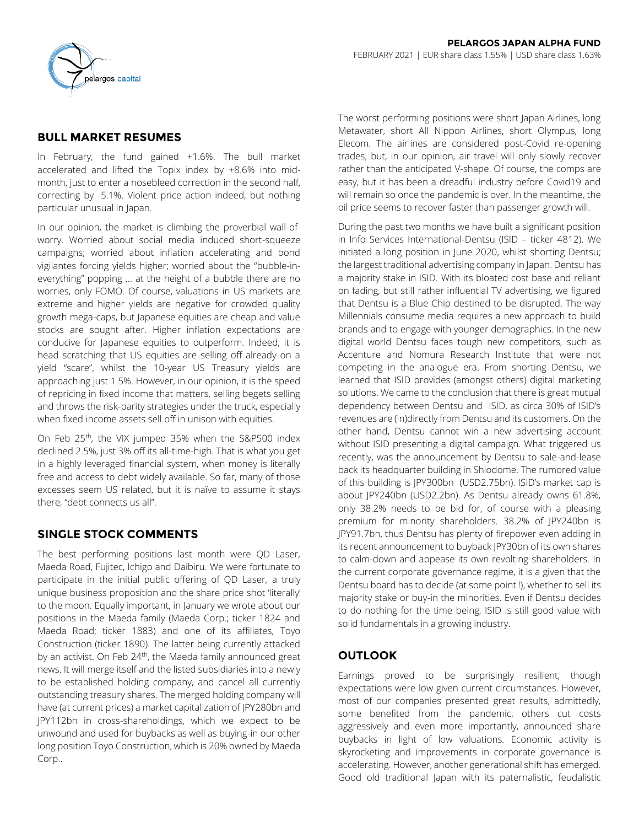

# **BULL MARKET RESUMES**

In February, the fund gained +1.6%. The bull market accelerated and lifted the Topix index by +8.6% into midmonth, just to enter a nosebleed correction in the second half, correcting by -5.1%. Violent price action indeed, but nothing particular unusual in Japan.

In our opinion, the market is climbing the proverbial wall-ofworry. Worried about social media induced short-squeeze campaigns; worried about inflation accelerating and bond vigilantes forcing yields higher; worried about the "bubble-ineverything" popping … at the height of a bubble there are no worries, only FOMO. Of course, valuations in US markets are extreme and higher yields are negative for crowded quality growth mega-caps, but Japanese equities are cheap and value stocks are sought after. Higher inflation expectations are conducive for Japanese equities to outperform. Indeed, it is head scratching that US equities are selling off already on a yield "scare", whilst the 10-year US Treasury yields are approaching just 1.5%. However, in our opinion, it is the speed of repricing in fixed income that matters, selling begets selling and throws the risk-parity strategies under the truck, especially when fixed income assets sell off in unison with equities.

On Feb 25th, the VIX jumped 35% when the S&P500 index declined 2.5%, just 3% off its all-time-high. That is what you get in a highly leveraged financial system, when money is literally free and access to debt widely available. So far, many of those excesses seem US related, but it is naïve to assume it stays there, "debt connects us all".

## **SINGLE STOCK COMMENTS**

The best performing positions last month were QD Laser, Maeda Road, Fujitec, Ichigo and Daibiru. We were fortunate to participate in the initial public offering of QD Laser, a truly unique business proposition and the share price shot 'literally' to the moon. Equally important, in January we wrote about our positions in the Maeda family (Maeda Corp.; ticker 1824 and Maeda Road; ticker 1883) and one of its affiliates, Toyo Construction (ticker 1890). The latter being currently attacked by an activist. On Feb 24<sup>th</sup>, the Maeda family announced great news. It will merge itself and the listed subsidiaries into a newly to be established holding company, and cancel all currently outstanding treasury shares. The merged holding company will have (at current prices) a market capitalization of JPY280bn and JPY112bn in cross-shareholdings, which we expect to be unwound and used for buybacks as well as buying-in our other long position Toyo Construction, which is 20% owned by Maeda Corp..

The worst performing positions were short Japan Airlines, long Metawater, short All Nippon Airlines, short Olympus, long Elecom. The airlines are considered post-Covid re-opening trades, but, in our opinion, air travel will only slowly recover rather than the anticipated V-shape. Of course, the comps are easy, but it has been a dreadful industry before Covid19 and will remain so once the pandemic is over. In the meantime, the oil price seems to recover faster than passenger growth will.

During the past two months we have built a significant position in Info Services International-Dentsu (ISID – ticker 4812). We initiated a long position in June 2020, whilst shorting Dentsu; the largest traditional advertising company in Japan. Dentsu has a majority stake in ISID. With its bloated cost base and reliant on fading, but still rather influential TV advertising, we figured that Dentsu is a Blue Chip destined to be disrupted. The way Millennials consume media requires a new approach to build brands and to engage with younger demographics. In the new digital world Dentsu faces tough new competitors, such as Accenture and Nomura Research Institute that were not competing in the analogue era. From shorting Dentsu, we learned that ISID provides (amongst others) digital marketing solutions. We came to the conclusion that there is great mutual dependency between Dentsu and ISID, as circa 30% of ISID's revenues are (in)directly from Dentsu and its customers. On the other hand, Dentsu cannot win a new advertising account without ISID presenting a digital campaign. What triggered us recently, was the announcement by Dentsu to sale-and-lease back its headquarter building in Shiodome. The rumored value of this building is JPY300bn (USD2.75bn). ISID's market cap is about JPY240bn (USD2.2bn). As Dentsu already owns 61.8%, only 38.2% needs to be bid for, of course with a pleasing premium for minority shareholders. 38.2% of JPY240bn is JPY91.7bn, thus Dentsu has plenty of firepower even adding in its recent announcement to buyback JPY30bn of its own shares to calm-down and appease its own revolting shareholders. In the current corporate governance regime, it is a given that the Dentsu board has to decide (at some point !), whether to sell its majority stake or buy-in the minorities. Even if Dentsu decides to do nothing for the time being, ISID is still good value with solid fundamentals in a growing industry.

## **OUTLOOK**

Earnings proved to be surprisingly resilient, though expectations were low given current circumstances. However, most of our companies presented great results, admittedly, some benefited from the pandemic, others cut costs aggressively and even more importantly, announced share buybacks in light of low valuations. Economic activity is skyrocketing and improvements in corporate governance is accelerating. However, another generational shift has emerged. Good old traditional Japan with its paternalistic, feudalistic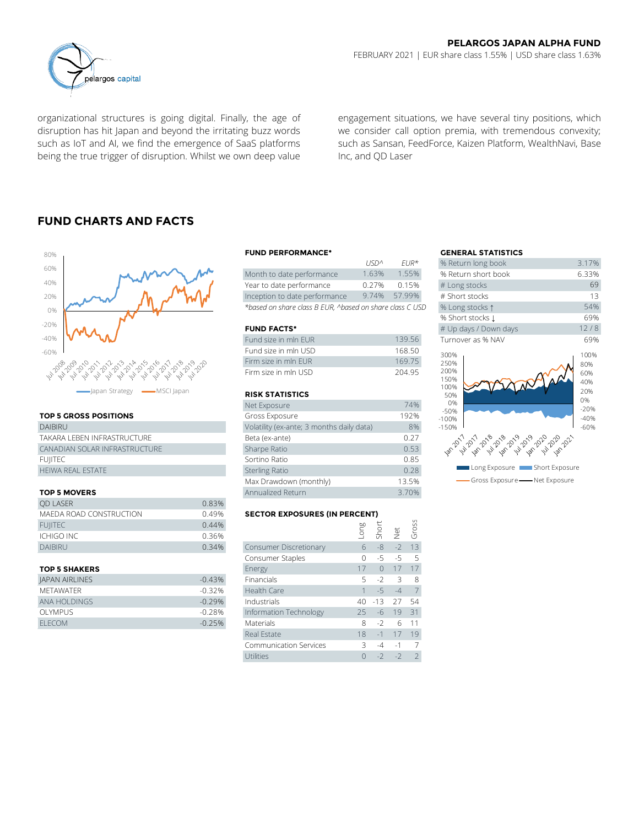

organizational structures is going digital. Finally, the age of disruption has hit Japan and beyond the irritating buzz words such as IoT and AI, we find the emergence of SaaS platforms being the true trigger of disruption. Whilst we own deep value

engagement situations, we have several tiny positions, which we consider call option premia, with tremendous convexity; such as Sansan, FeedForce, Kaizen Platform, WealthNavi, Base Inc, and QD Laser

## **FUND CHARTS AND FACTS**



### **TOP 5 GROSS POSITIONS**

| DAIBIRU                       | Volatility (ex-ar     |
|-------------------------------|-----------------------|
| TAKARA I FBEN INFRASTRUCTURE  | Beta (ex-ante)        |
| CANADIAN SOLAR INFRASTRUCTURE | Sharpe Ratio          |
| FUIITEC                       | Sortino Ratio         |
| <b>HEIWA REAL ESTATE</b>      | <b>Sterling Ratio</b> |

### **TOP 5 MOVERS**

|                         |       | Max Drawdown (monthly)               |      |       | 13.5% |       |
|-------------------------|-------|--------------------------------------|------|-------|-------|-------|
| <b>TOP 5 MOVERS</b>     |       | Annualized Return                    |      | 3.70% |       |       |
| <b>OD LASER</b>         | 0.83% |                                      |      |       |       |       |
| MAEDA ROAD CONSTRUCTION | 0.49% | <b>SECTOR EXPOSURES (IN PERCENT)</b> |      |       |       |       |
| <b>FUIITEC</b>          | 0.44% |                                      | guo. |       |       | Gross |
| <b>ICHIGO INC</b>       | 0.36% |                                      |      | Shor  | ğ     |       |
| <b>DAIBIRU</b>          | 0.34% | Consumer Discretionary               | 6    | -8    | $-2$  | 13    |
|                         |       | Consumer Staples                     |      | -5    | $-5$  | - 5   |
|                         |       |                                      |      |       |       |       |

| <b>JAPAN AIRLINES</b> | $-0.43%$<br><b>Financials</b><br>$5 - 2 - 3$<br>- 8      |
|-----------------------|----------------------------------------------------------|
| MFTAWATFR             | Health Care<br>$-0.32%$<br>$\overline{7}$<br>$1 - 5 - 4$ |
| ANA HOLDINGS          | $-0.29%$<br>40 -13 27 54<br>Industrials                  |
| OI YMPUS              | Information Technology<br>$-0.28%$<br>$-6$ 19 31<br>25.  |
| FI FCOM               | $-0.25%$<br><b>Materials</b><br>6 11<br>$-2$<br>8.       |

#### **FUND PERFORMANCE\* GENERAL STATISTICS**

|                                                          | 115122          | FUR <sup>*</sup> | % Return long book  |
|----------------------------------------------------------|-----------------|------------------|---------------------|
| Month to date performance                                | 1.63%           | 1.55%            | % Return short book |
| Year to date performance                                 | 0.27%           | 0.15%            | # Long stocks       |
| Inception to date performance                            | 9.74%           | 57.99%           | # Short stocks      |
| *based on share class B EUR, ^based on share class C USD | % Long stocks 1 |                  |                     |

#### **FUND FACTS\***

| Fund size in mln FUR | 13956  | Turnover as % NAV |
|----------------------|--------|-------------------|
| Fund size in mln USD | 168.50 | 300%              |
| Firm size in mln FUR | 16975  | 250%              |
| Firm size in mln USD | 204.95 | 200%              |

#### **RISK STATISTICS**

|                                                                                                                                                                   | Firm size in mln EUR                      | 169.75 |
|-------------------------------------------------------------------------------------------------------------------------------------------------------------------|-------------------------------------------|--------|
| می دی ده می برای می دهد که برای می برای می دهد.<br>محل استان می برای می برای می برای می برای می برای می برای می برای می برای می برای می برای می برای می برای می ب | Firm size in mln USD                      | 204.95 |
| apan Strategy<br>-MSCI Japan                                                                                                                                      | <b>RISK STATISTICS</b>                    |        |
|                                                                                                                                                                   | Net Exposure                              | 74%    |
| <b>TOP 5 GROSS POSITIONS</b>                                                                                                                                      | Gross Exposure                            | 192%   |
| <b>DAIBIRU</b>                                                                                                                                                    | Volatility (ex-ante; 3 months daily data) | 8%     |
| TAKARA LEBEN INFRASTRUCTURE                                                                                                                                       | Beta (ex-ante)                            | 0.27   |
| CANADIAN SOLAR INFRASTRUCTURE                                                                                                                                     | Sharpe Ratio                              | 0.53   |
| <b>FUIITEC</b>                                                                                                                                                    | Sortino Ratio                             | 0.85   |
| <b>HEIWA REAL ESTATE</b>                                                                                                                                          | <b>Sterling Ratio</b>                     | 0.28   |
|                                                                                                                                                                   | Max Drawdown (monthly)                    | 13.5%  |
| TOP 5 MOVERS                                                                                                                                                      | Annualized Return                         | 3.70%  |

### **SECTOR EXPOSURES (IN PERCENT)**

| <b>OD LASER</b>                | 0.83%    |                                      |     |          |      |                |  |  |
|--------------------------------|----------|--------------------------------------|-----|----------|------|----------------|--|--|
| <b>MAEDA ROAD CONSTRUCTION</b> |          | <b>SECTOR EXPOSURES (IN PERCENT)</b> |     |          |      |                |  |  |
| <b>FUIITEC</b>                 | 0.44%    |                                      | ong | Short    |      | Gross          |  |  |
| ICHIGO INC                     | 0.36%    |                                      |     |          | İet  |                |  |  |
| <b>DAIBIRU</b>                 | 0.34%    | Consumer Discretionary               | 6   | $-8$     | $-2$ | 13             |  |  |
|                                |          | Consumer Staples                     | 0   | -5       | -5   | 5              |  |  |
| <b>TOP 5 SHAKERS</b>           |          | Energy                               | 17  | $\Omega$ | 17   | 17             |  |  |
| <b>JAPAN AIRLINES</b>          | $-0.43%$ | Financials                           | 5.  | $-2$     | 3    | 8              |  |  |
| <b>METAWATER</b>               | $-0.32%$ | Health Care                          |     | $-5$     | $-4$ | 7              |  |  |
| ANA HOLDINGS                   | $-0.29%$ | Industrials                          | 40  | $-13$    | 27   | 54             |  |  |
| <b>OLYMPUS</b>                 | $-0.28%$ | Information Technology               | 25  | -6       | 19   | 31             |  |  |
| <b>ELECOM</b>                  | $-0.25%$ | Materials                            | 8   | $-2$     | 6    | 11             |  |  |
|                                |          | Real Estate                          | 18  | $-1$     | 17   | 19             |  |  |
|                                |          | <b>Communication Services</b>        | 3   | $-4$     | $-1$ |                |  |  |
|                                |          | Utilities                            |     | $-2$     | $-2$ | $\overline{2}$ |  |  |
|                                |          |                                      |     |          |      |                |  |  |

|             |                      | <b>GENERAL STATISTICS</b> |       |
|-------------|----------------------|---------------------------|-------|
| <b>USDA</b> | $FIR*$               | % Return long book        | 3.17% |
| 1.63%       | 1.55%                | % Return short book       | 6.33% |
| 0.27%       | 0.15%                | # Long stocks             | 69    |
| 9.74%       | 57.99%               | # Short stocks            | 13    |
|             | on share class C USD | % Long stocks 1           | 54%   |
|             |                      | % Short stocks 1          | 69%   |
|             |                      | # Up days / Down days     | 12/8  |
|             | 139.56               | Turnover as % NAV         | 69%   |